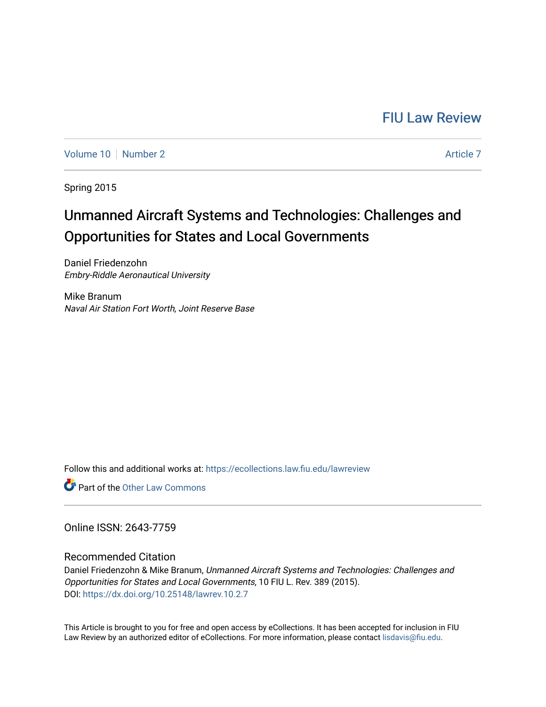# [FIU Law Review](https://ecollections.law.fiu.edu/lawreview)

[Volume 10](https://ecollections.law.fiu.edu/lawreview/vol10) [Number 2](https://ecollections.law.fiu.edu/lawreview/vol10/iss2) [Article 7](https://ecollections.law.fiu.edu/lawreview/vol10/iss2/7) Article 7 Article 7 Article 7 Article 7 Article 7 Article 7

Spring 2015

# Unmanned Aircraft Systems and Technologies: Challenges and Opportunities for States and Local Governments

Daniel Friedenzohn Embry-Riddle Aeronautical University

Mike Branum Naval Air Station Fort Worth, Joint Reserve Base

Follow this and additional works at: [https://ecollections.law.fiu.edu/lawreview](https://ecollections.law.fiu.edu/lawreview?utm_source=ecollections.law.fiu.edu%2Flawreview%2Fvol10%2Fiss2%2F7&utm_medium=PDF&utm_campaign=PDFCoverPages)

**Part of the Other Law Commons** 

Online ISSN: 2643-7759

Recommended Citation

Daniel Friedenzohn & Mike Branum, Unmanned Aircraft Systems and Technologies: Challenges and Opportunities for States and Local Governments, 10 FIU L. Rev. 389 (2015). DOI:<https://dx.doi.org/10.25148/lawrev.10.2.7>

This Article is brought to you for free and open access by eCollections. It has been accepted for inclusion in FIU Law Review by an authorized editor of eCollections. For more information, please contact [lisdavis@fiu.edu](mailto:lisdavis@fiu.edu).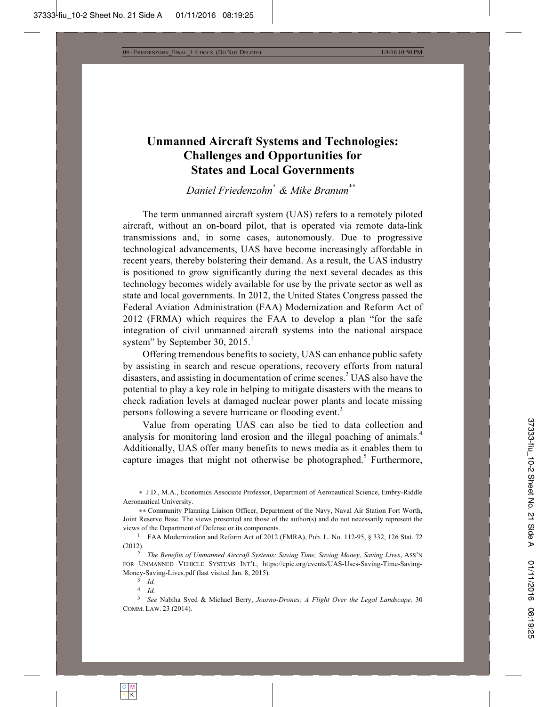## **Unmanned Aircraft Systems and Technologies: Challenges and Opportunities for States and Local Governments**

*Daniel Friedenzohn*\*  *& Mike Branum*\*\*

The term unmanned aircraft system (UAS) refers to a remotely piloted aircraft, without an on-board pilot, that is operated via remote data-link transmissions and, in some cases, autonomously. Due to progressive technological advancements, UAS have become increasingly affordable in recent years, thereby bolstering their demand. As a result, the UAS industry is positioned to grow significantly during the next several decades as this technology becomes widely available for use by the private sector as well as state and local governments. In 2012, the United States Congress passed the Federal Aviation Administration (FAA) Modernization and Reform Act of 2012 (FRMA) which requires the FAA to develop a plan "for the safe integration of civil unmanned aircraft systems into the national airspace system" by September 30,  $2015.<sup>1</sup>$ 

Offering tremendous benefits to society, UAS can enhance public safety by assisting in search and rescue operations, recovery efforts from natural disasters, and assisting in documentation of crime scenes.<sup>2</sup> UAS also have the potential to play a key role in helping to mitigate disasters with the means to check radiation levels at damaged nuclear power plants and locate missing persons following a severe hurricane or flooding event.<sup>3</sup>

Value from operating UAS can also be tied to data collection and analysis for monitoring land erosion and the illegal poaching of animals.<sup>4</sup> Additionally, UAS offer many benefits to news media as it enables them to capture images that might not otherwise be photographed.<sup>5</sup> Furthermore,

J.D., M.A., Economics Associate Professor, Department of Aeronautical Science, Embry-Riddle Aeronautical University.

Community Planning Liaison Officer, Department of the Navy, Naval Air Station Fort Worth, Joint Reserve Base. The views presented are those of the author(s) and do not necessarily represent the views of the Department of Defense or its components.<br><sup>1</sup> FAA Modernization and Reform Act of 2012 (FMRA), Pub. L. No. 112-95, § 332, 126 Stat. 72

<sup>(2012).</sup>

<sup>2</sup> *The Benefits of Unmanned Aircraft Systems: Saving Time, Saving Money, Saving Lives*, ASS'N FOR UNMANNED VEHICLE SYSTEMS INT'L, https://epic.org/events/UAS-Uses-Saving-Time-Saving-Money-Saving-Lives.pdf (last visited Jan. 8, 2015). 3 *Id.*

<sup>4</sup> *Id.*

<sup>5</sup> *See* Nabiha Syed & Michael Berry, *Journo-Drones: A Flight Over the Legal Landscape,* 30 COMM. LAW. 23 (2014).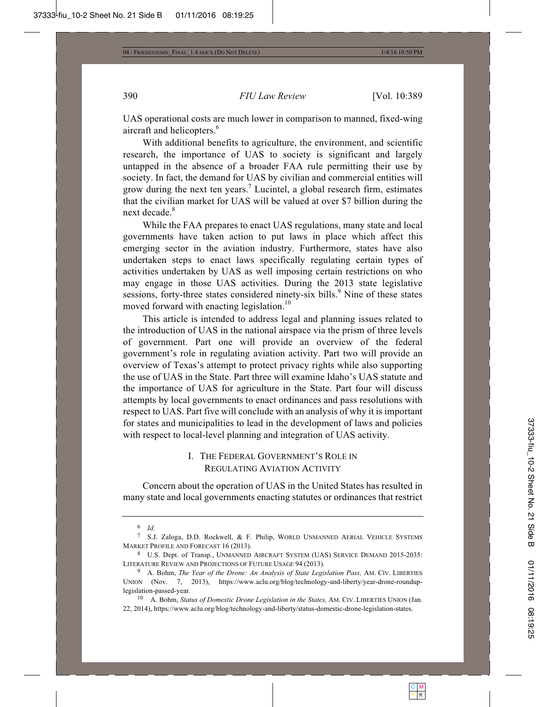UAS operational costs are much lower in comparison to manned, fixed-wing aircraft and helicopters.<sup>6</sup>

With additional benefits to agriculture, the environment, and scientific research, the importance of UAS to society is significant and largely untapped in the absence of a broader FAA rule permitting their use by society. In fact, the demand for UAS by civilian and commercial entities will grow during the next ten years.<sup>7</sup> Lucintel, a global research firm, estimates that the civilian market for UAS will be valued at over \$7 billion during the next decade.<sup>8</sup>

While the FAA prepares to enact UAS regulations, many state and local governments have taken action to put laws in place which affect this emerging sector in the aviation industry. Furthermore, states have also undertaken steps to enact laws specifically regulating certain types of activities undertaken by UAS as well imposing certain restrictions on who may engage in those UAS activities. During the 2013 state legislative sessions, forty-three states considered ninety-six bills.<sup>9</sup> Nine of these states moved forward with enacting legislation.<sup>10</sup>

This article is intended to address legal and planning issues related to the introduction of UAS in the national airspace via the prism of three levels of government. Part one will provide an overview of the federal government's role in regulating aviation activity. Part two will provide an overview of Texas's attempt to protect privacy rights while also supporting the use of UAS in the State. Part three will examine Idaho's UAS statute and the importance of UAS for agriculture in the State. Part four will discuss attempts by local governments to enact ordinances and pass resolutions with respect to UAS. Part five will conclude with an analysis of why it is important for states and municipalities to lead in the development of laws and policies with respect to local-level planning and integration of UAS activity.

### I. THE FEDERAL GOVERNMENT'S ROLE IN REGULATING AVIATION ACTIVITY

Concern about the operation of UAS in the United States has resulted in many state and local governments enacting statutes or ordinances that restrict

<sup>6</sup> *Id.*

<sup>7</sup> S.J. Zaloga, D.D. Rockwell, & F. Philip, WORLD UNMANNED AERIAL VEHICLE SYSTEMS MARKET PROFILE AND FORECAST 16 (2013).<br><sup>8</sup> U.S. Dept. of Transp., UNMANNED AIRCRAFT SYSTEM (UAS) SERVICE DEMAND 2015-2035:

LITERATURE REVIEW AND PROJECTIONS OF FUTURE USAGE 94 (2013).

<sup>9</sup> A. Bohm, *The Year of the Drone: An Analysis of State Legislation Pass,* AM. CIV. LIBERTIES UNION (Nov. 7, 2013), https://www.aclu.org/blog/technology-and-liberty/year-drone-rounduplegislation-passed-year.

<sup>10</sup> A. Bohm, *Status of Domestic Drone Legislation in the States,* AM. CIV. LIBERTIES UNION (Jan. 22, 2014), https://www.aclu.org/blog/technology-and-liberty/status-domestic-drone-legislation-states.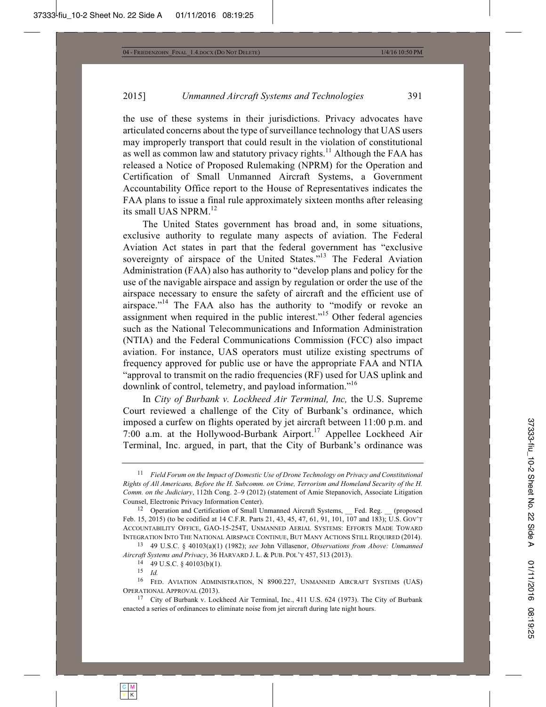the use of these systems in their jurisdictions. Privacy advocates have articulated concerns about the type of surveillance technology that UAS users may improperly transport that could result in the violation of constitutional as well as common law and statutory privacy rights.<sup>11</sup> Although the FAA has released a Notice of Proposed Rulemaking (NPRM) for the Operation and Certification of Small Unmanned Aircraft Systems, a Government Accountability Office report to the House of Representatives indicates the FAA plans to issue a final rule approximately sixteen months after releasing its small UAS NPRM.<sup>12</sup>

The United States government has broad and, in some situations, exclusive authority to regulate many aspects of aviation. The Federal Aviation Act states in part that the federal government has "exclusive sovereignty of airspace of the United States."<sup>13</sup> The Federal Aviation Administration (FAA) also has authority to "develop plans and policy for the use of the navigable airspace and assign by regulation or order the use of the airspace necessary to ensure the safety of aircraft and the efficient use of airspace."<sup>14</sup> The FAA also has the authority to "modify or revoke an assignment when required in the public interest."15 Other federal agencies such as the National Telecommunications and Information Administration (NTIA) and the Federal Communications Commission (FCC) also impact aviation. For instance, UAS operators must utilize existing spectrums of frequency approved for public use or have the appropriate FAA and NTIA "approval to transmit on the radio frequencies (RF) used for UAS uplink and downlink of control, telemetry, and payload information."<sup>16</sup>

In *City of Burbank v. Lockheed Air Terminal, Inc,* the U.S. Supreme Court reviewed a challenge of the City of Burbank's ordinance, which imposed a curfew on flights operated by jet aircraft between 11:00 p.m. and 7:00 a.m. at the Hollywood-Burbank Airport.<sup>17</sup> Appellee Lockheed Air Terminal, Inc. argued, in part, that the City of Burbank's ordinance was

13 49 U.S.C. § 40103(a)(1) (1982); *see* John Villasenor, *Observations from Above: Unmanned Aircraft Systems and Privacy*, 36 HARVARD J. L. & PUB. POL'Y 457, 513 (2013).

<sup>14</sup> 49 U.S.C. § 40103(b)(1). 15 *Id.*

<sup>11</sup> *Field Forum on the Impact of Domestic Use of Drone Technology on Privacy and Constitutional Rights of All Americans, Before the H. Subcomm. on Crime, Terrorism and Homeland Security of the H. Comm. on the Judiciary*, 112th Cong. 2–9 (2012) (statement of Amie Stepanovich, Associate Litigation Counsel, Electronic Privacy Information Center).<br><sup>12</sup> Operation and Certification of Small Unmanned Aircraft Systems, Fed. Reg. *\_\_ (proposed*)

Feb. 15, 2015) (to be codified at 14 C.F.R. Parts 21, 43, 45, 47, 61, 91, 101, 107 and 183); U.S. GOV'T ACCOUNTABILITY OFFICE, GAO-15-254T, UNMANNED AERIAL SYSTEMS: EFFORTS MADE TOWARD INTEGRATION INTO THE NATIONAL AIRSPACE CONTINUE, BUT MANY ACTIONS STILL REQUIRED (2014).

<sup>16</sup> FED. AVIATION ADMINISTRATION, N 8900.227, UNMANNED AIRCRAFT SYSTEMS (UAS) OPERATIONAL APPROVAL (2013).

<sup>17</sup> City of Burbank v. Lockheed Air Terminal, Inc., 411 U.S. 624 (1973). The City of Burbank enacted a series of ordinances to eliminate noise from jet aircraft during late night hours.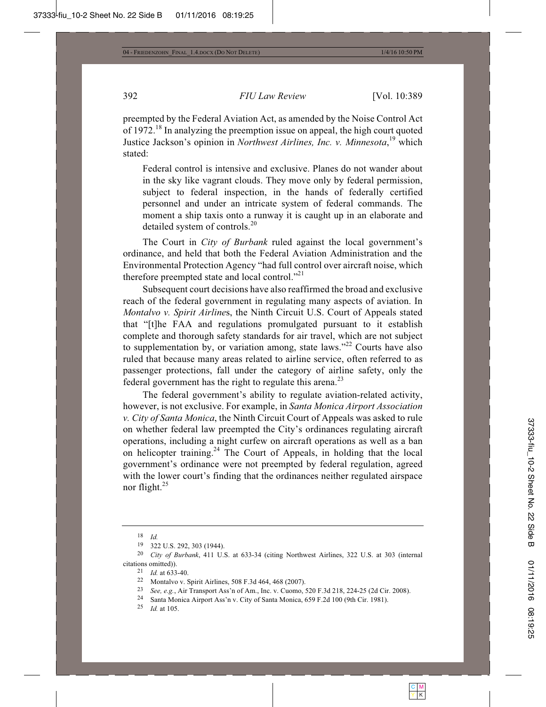preempted by the Federal Aviation Act, as amended by the Noise Control Act of 1972.18 In analyzing the preemption issue on appeal, the high court quoted Justice Jackson's opinion in *Northwest Airlines, Inc. v. Minnesota*, 19 which stated:

Federal control is intensive and exclusive. Planes do not wander about in the sky like vagrant clouds. They move only by federal permission, subject to federal inspection, in the hands of federally certified personnel and under an intricate system of federal commands. The moment a ship taxis onto a runway it is caught up in an elaborate and detailed system of controls.<sup>20</sup>

The Court in *City of Burbank* ruled against the local government's ordinance, and held that both the Federal Aviation Administration and the Environmental Protection Agency "had full control over aircraft noise, which therefore preempted state and local control."<sup>21</sup>

Subsequent court decisions have also reaffirmed the broad and exclusive reach of the federal government in regulating many aspects of aviation. In *Montalvo v. Spirit Airline*s, the Ninth Circuit U.S. Court of Appeals stated that "[t]he FAA and regulations promulgated pursuant to it establish complete and thorough safety standards for air travel, which are not subject to supplementation by, or variation among, state laws."<sup>22</sup> Courts have also ruled that because many areas related to airline service, often referred to as passenger protections, fall under the category of airline safety, only the federal government has the right to regulate this arena.<sup>23</sup>

The federal government's ability to regulate aviation-related activity, however, is not exclusive. For example, in *Santa Monica Airport Association v. City of Santa Monica*, the Ninth Circuit Court of Appeals was asked to rule on whether federal law preempted the City's ordinances regulating aircraft operations, including a night curfew on aircraft operations as well as a ban on helicopter training.<sup>24</sup> The Court of Appeals, in holding that the local government's ordinance were not preempted by federal regulation, agreed with the lower court's finding that the ordinances neither regulated airspace nor flight.25

 $\frac{18}{19}$  *Id.* 

<sup>19</sup> 322 U.S. 292, 303 (1944). 20 *City of Burbank*, 411 U.S. at 633-34 (citing Northwest Airlines, 322 U.S. at 303 (internal citations omitted)).<br>
<sup>21</sup> Id. at 633-40.<br>
<sup>22</sup> Montalvo v. Spirit Airlines, 508 F.3d 464, 468 (2007).<br>
<sup>23</sup> See, e.g., Air Transport Ass'n of Am., Inc. v. Cuomo, 520 F.3d 218, 224-25 (2d Cir. 2008).<br>
<sup>24</sup> Santa Monica Air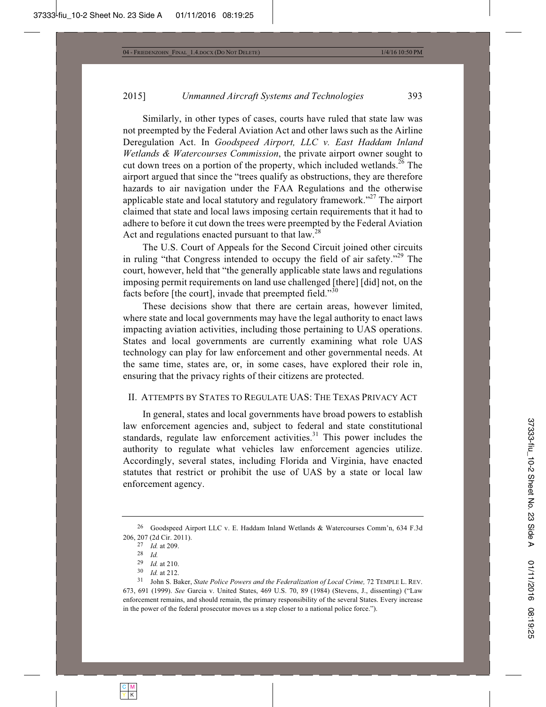Similarly, in other types of cases, courts have ruled that state law was not preempted by the Federal Aviation Act and other laws such as the Airline Deregulation Act. In *Goodspeed Airport, LLC v. East Haddam Inland Wetlands & Watercourses Commission*, the private airport owner sought to cut down trees on a portion of the property, which included wetlands.<sup>26</sup> The airport argued that since the "trees qualify as obstructions, they are therefore hazards to air navigation under the FAA Regulations and the otherwise applicable state and local statutory and regulatory framework."27 The airport claimed that state and local laws imposing certain requirements that it had to adhere to before it cut down the trees were preempted by the Federal Aviation Act and regulations enacted pursuant to that  $\text{law}^{\text{28}}$ .

The U.S. Court of Appeals for the Second Circuit joined other circuits in ruling "that Congress intended to occupy the field of air safety."<sup>29</sup> The court, however, held that "the generally applicable state laws and regulations imposing permit requirements on land use challenged [there] [did] not, on the facts before [the court], invade that preempted field."<sup>30</sup>

These decisions show that there are certain areas, however limited, where state and local governments may have the legal authority to enact laws impacting aviation activities, including those pertaining to UAS operations. States and local governments are currently examining what role UAS technology can play for law enforcement and other governmental needs. At the same time, states are, or, in some cases, have explored their role in, ensuring that the privacy rights of their citizens are protected.

#### II. ATTEMPTS BY STATES TO REGULATE UAS: THE TEXAS PRIVACY ACT

In general, states and local governments have broad powers to establish law enforcement agencies and, subject to federal and state constitutional standards, regulate law enforcement activities.<sup>31</sup> This power includes the authority to regulate what vehicles law enforcement agencies utilize. Accordingly, several states, including Florida and Virginia, have enacted statutes that restrict or prohibit the use of UAS by a state or local law enforcement agency.

<sup>26</sup> Goodspeed Airport LLC v. E. Haddam Inland Wetlands & Watercourses Comm'n, 634 F.3d 206, 207 (2d Cir. 2011). 27 *Id.* at 209. 28 *Id.*

<sup>29</sup> *Id.* at 210. 30 *Id.* at 212. 31 John S. Baker, *State Police Powers and the Federalization of Local Crime,* 72 TEMPLE L. REV. 673, 691 (1999). *See* Garcia v. United States, 469 U.S. 70, 89 (1984) (Stevens, J., dissenting) ("Law enforcement remains, and should remain, the primary responsibility of the several States. Every increase in the power of the federal prosecutor moves us a step closer to a national police force.").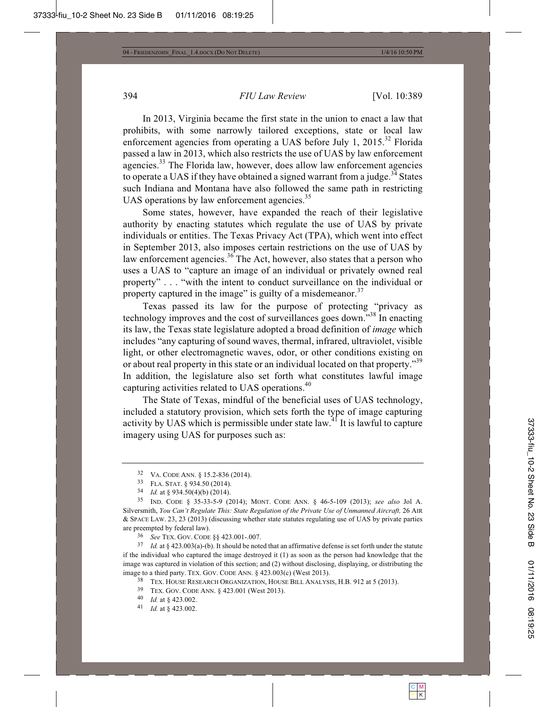In 2013, Virginia became the first state in the union to enact a law that prohibits, with some narrowly tailored exceptions, state or local law enforcement agencies from operating a UAS before July 1,  $2015$ <sup>32</sup> Florida passed a law in 2013, which also restricts the use of UAS by law enforcement agencies.<sup>33</sup> The Florida law, however, does allow law enforcement agencies to operate a UAS if they have obtained a signed warrant from a judge.<sup>34</sup> States such Indiana and Montana have also followed the same path in restricting UAS operations by law enforcement agencies. $35$ 

Some states, however, have expanded the reach of their legislative authority by enacting statutes which regulate the use of UAS by private individuals or entities. The Texas Privacy Act (TPA), which went into effect in September 2013, also imposes certain restrictions on the use of UAS by law enforcement agencies.<sup>36</sup> The Act, however, also states that a person who uses a UAS to "capture an image of an individual or privately owned real property" . . . "with the intent to conduct surveillance on the individual or property captured in the image" is guilty of a misdemeanor. $37$ 

Texas passed its law for the purpose of protecting "privacy as technology improves and the cost of surveillances goes down."<sup>38</sup> In enacting its law, the Texas state legislature adopted a broad definition of *image* which includes "any capturing of sound waves, thermal, infrared, ultraviolet, visible light, or other electromagnetic waves, odor, or other conditions existing on or about real property in this state or an individual located on that property."<sup>39</sup> In addition, the legislature also set forth what constitutes lawful image capturing activities related to UAS operations.<sup>40</sup>

The State of Texas, mindful of the beneficial uses of UAS technology, included a statutory provision, which sets forth the type of image capturing activity by UAS which is permissible under state law.41 It is lawful to capture imagery using UAS for purposes such as:

are preempted by federal law).<br><sup>36</sup> *See* TEX. GOV. CODE §§ 423.001-.007.<br><sup>37</sup> *Id.* at § 423.003(a)-(b). It should be noted that an affirmative defense is set forth under the statute if the individual who captured the image destroyed it (1) as soon as the person had knowledge that the image was captured in violation of this section; and (2) without disclosing, displaying, or distributing the image to a third party. TEX. GOV. CODE ANN. § 423.003(c) (West 2013).<br><sup>38</sup> TEX. HOUSE RESEARCH ORGANIZATION, HOUSE BILL ANALYSIS, H.B. 912 at 5 (2013).<br><sup>39</sup> TEX. GOV. CODE ANN. § 423.001 (West 2013).<br><sup>40</sup> Id. at § 423.002.

<sup>32</sup> VA. CODE ANN. § 15.2-836 (2014). 33 FLA. STAT. § 934.50 (2014). 34 *Id.* at § 934.50(4)(b) (2014). 35 IND. CODE § 35-33-5-9 (2014); MONT. CODE ANN. § 46-5-109 (2013); *see also* Jol A. Silversmith, *You Can't Regulate This: State Regulation of the Private Use of Unmanned Aircraft,* 26 AIR & SPACE LAW. 23, 23 (2013) (discussing whether state statutes regulating use of UAS by private parties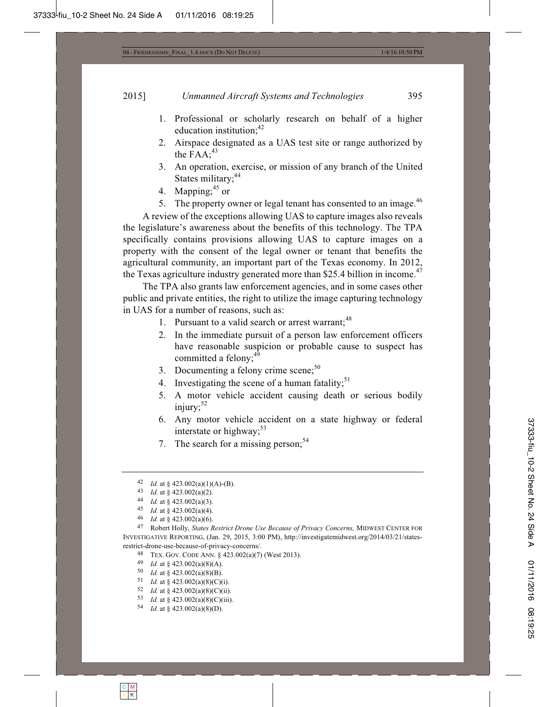- 1. Professional or scholarly research on behalf of a higher education institution:<sup>42</sup>
- 2. Airspace designated as a UAS test site or range authorized by the  $FAA$ ;<sup>43</sup>
- 3. An operation, exercise, or mission of any branch of the United States military;<sup>44</sup>
- 4. Mapping;  $45$  or
- 5. The property owner or legal tenant has consented to an image.<sup>46</sup>

A review of the exceptions allowing UAS to capture images also reveals the legislature's awareness about the benefits of this technology. The TPA specifically contains provisions allowing UAS to capture images on a property with the consent of the legal owner or tenant that benefits the agricultural community, an important part of the Texas economy. In 2012, the Texas agriculture industry generated more than \$25.4 billion in income.<sup>47</sup>

The TPA also grants law enforcement agencies, and in some cases other public and private entities, the right to utilize the image capturing technology in UAS for a number of reasons, such as:

- 1. Pursuant to a valid search or arrest warrant:<sup>48</sup>
- 2. In the immediate pursuit of a person law enforcement officers have reasonable suspicion or probable cause to suspect has committed a felony;<sup>49</sup>
- 3. Documenting a felony crime scene; $50$
- 4. Investigating the scene of a human fatality;<sup>51</sup>
- 5. A motor vehicle accident causing death or serious bodily injury: $52$
- 6. Any motor vehicle accident on a state highway or federal interstate or highway;<sup>53</sup>
- 7. The search for a missing person;<sup>54</sup>

- 
- 
- 
- 
- 
- 

 $\begin{array}{ll} 42 & Id. \text{ at } \S~423.002(a)(1)(\text{A})\text{-}(\text{B}). \\ 43 & Id. \text{ at } \S~423.002(a)(2). \\ 44 & Id. \text{ at } \S~423.002(a)(3). \\ 45 & Id. \text{ at } \S~423.002(a)(4). \\ 46 & Id. \text{ at } \S~423.002(a)(6). \\ 47 & \text{Robert Holly, *States Restrict Drone Use Because of Privacy Concerns*, MIDWEST CENTER FOR \\ \end{array}$ INVESTIGATIVE REPORTING, (Jan. 29, 2015, 3:00 PM), http://investigatemidwest.org/2014/03/21/statesrestrict-drone-use-because-of-privacy-concerns/.

<sup>&</sup>lt;sup>48</sup> TEX. GOV. CODE ANN. § 423.002(a)(7) (West 2013).<br>
<sup>49</sup> Id. at § 423.002(a)(8)(A).<br>
<sup>50</sup> Id. at § 423.002(a)(8)(B).<br>
<sup>51</sup> Id. at § 423.002(a)(8)(C)(i).<br>
<sup>52</sup> Id. at § 423.002(a)(8)(C)(ii).<br>
<sup>53</sup> Id. at § 423.002(a)(8)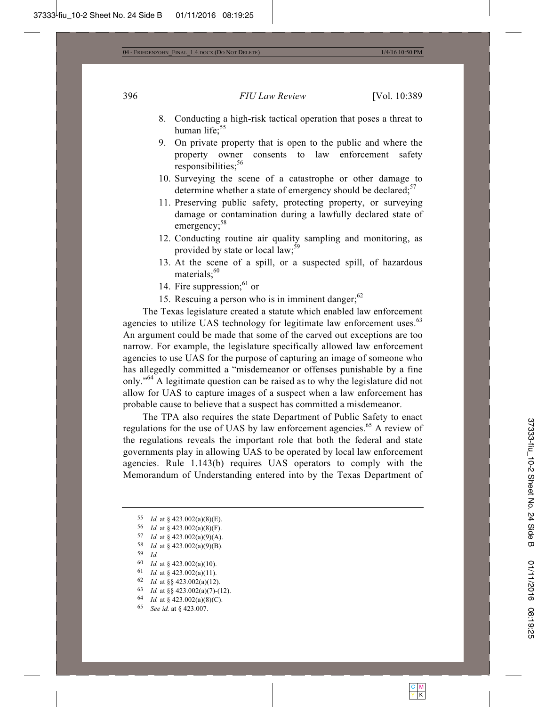- 8. Conducting a high-risk tactical operation that poses a threat to human life:<sup>55</sup>
- 9. On private property that is open to the public and where the property owner consents to law enforcement safety responsibilities:<sup>56</sup>
- 10. Surveying the scene of a catastrophe or other damage to determine whether a state of emergency should be declared; $57$
- 11. Preserving public safety, protecting property, or surveying damage or contamination during a lawfully declared state of emergency:<sup>58</sup>
- 12. Conducting routine air quality sampling and monitoring, as provided by state or local law;  $\frac{5}{5}$
- 13. At the scene of a spill, or a suspected spill, of hazardous materials: $60$
- 14. Fire suppression; $^{61}$  or
- 15. Rescuing a person who is in imminent danger; $62$

The Texas legislature created a statute which enabled law enforcement agencies to utilize UAS technology for legitimate law enforcement uses.<sup>63</sup> An argument could be made that some of the carved out exceptions are too narrow. For example, the legislature specifically allowed law enforcement agencies to use UAS for the purpose of capturing an image of someone who has allegedly committed a "misdemeanor or offenses punishable by a fine only."64 A legitimate question can be raised as to why the legislature did not allow for UAS to capture images of a suspect when a law enforcement has probable cause to believe that a suspect has committed a misdemeanor.

The TPA also requires the state Department of Public Safety to enact regulations for the use of UAS by law enforcement agencies.<sup>65</sup> A review of the regulations reveals the important role that both the federal and state governments play in allowing UAS to be operated by local law enforcement agencies. Rule 1.143(b) requires UAS operators to comply with the Memorandum of Understanding entered into by the Texas Department of

- 
- 59 *Id.*  $^{59}$  *Id.* at § 423.002(a)(10).
- 
- 
- 61 *Id.* at § 423.002(a)(11).<br>62 *Id.* at §§ 423.002(a)(12).<br>63 *Id.* at §§ 423.002(a)(7)-(12).<br>64 *Id.* at § 423.002(a)(8)(C).<br>65 *See id.* at § 423.007.
- 

<sup>55</sup> *Id.* at § 423.002(a)(8)(E).<br>
56 *Id.* at § 423.002(a)(8)(F).<br>
57 *Id.* at § 423.002(a)(9)(A).<br>
58 *Id.* at § 423.002(a)(9)(B).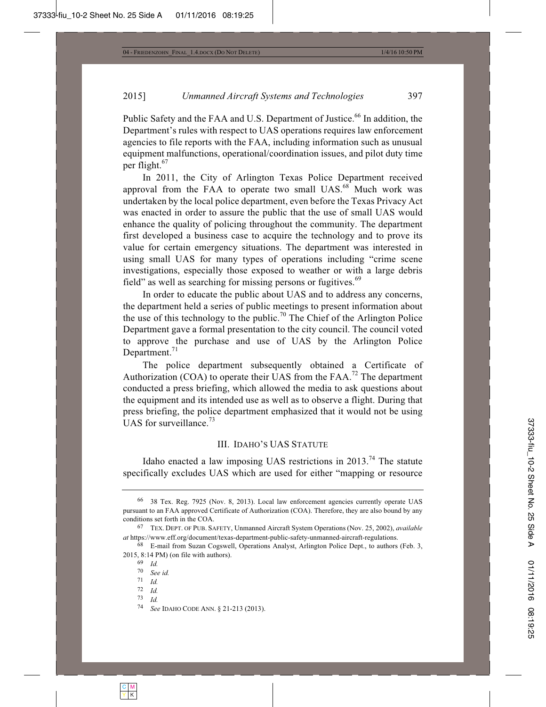Public Safety and the FAA and U.S. Department of Justice.<sup>66</sup> In addition, the Department's rules with respect to UAS operations requires law enforcement agencies to file reports with the FAA, including information such as unusual equipment malfunctions, operational/coordination issues, and pilot duty time per flight.<sup>67</sup>

In 2011, the City of Arlington Texas Police Department received approval from the FAA to operate two small  $UAS$ .<sup>68</sup> Much work was undertaken by the local police department, even before the Texas Privacy Act was enacted in order to assure the public that the use of small UAS would enhance the quality of policing throughout the community. The department first developed a business case to acquire the technology and to prove its value for certain emergency situations. The department was interested in using small UAS for many types of operations including "crime scene investigations, especially those exposed to weather or with a large debris field" as well as searching for missing persons or fugitives.<sup>69</sup>

In order to educate the public about UAS and to address any concerns, the department held a series of public meetings to present information about the use of this technology to the public.<sup>70</sup> The Chief of the Arlington Police Department gave a formal presentation to the city council. The council voted to approve the purchase and use of UAS by the Arlington Police Department.<sup>71</sup>

The police department subsequently obtained a Certificate of Authorization  $(COA)$  to operate their UAS from the FAA.<sup>72</sup> The department conducted a press briefing, which allowed the media to ask questions about the equipment and its intended use as well as to observe a flight. During that press briefing, the police department emphasized that it would not be using UAS for surveillance.<sup>73</sup>

#### III. IDAHO'S UAS STATUTE

Idaho enacted a law imposing UAS restrictions in  $2013<sup>74</sup>$  The statute specifically excludes UAS which are used for either "mapping or resource

70 *See id.*

- 72 *Id.*
- 73 *Id.*

<sup>66</sup> 38 Tex. Reg. 7925 (Nov. 8, 2013). Local law enforcement agencies currently operate UAS pursuant to an FAA approved Certificate of Authorization (COA). Therefore, they are also bound by any conditions set forth in the COA. 67 TEX. DEPT. OF PUB. SAFETY, Unmanned Aircraft System Operations (Nov. 25, 2002), *available* 

*at* https://www.eff.org/document/texas-department-public-safety-unmanned-aircraft-regulations.

<sup>68</sup> E-mail from Suzan Cogswell, Operations Analyst, Arlington Police Dept., to authors (Feb. 3, 2015, 8:14 PM) (on file with authors). 69 *Id.*

<sup>71</sup> *Id.*

<sup>74</sup> *See* IDAHO CODE ANN. § 21-213 (2013).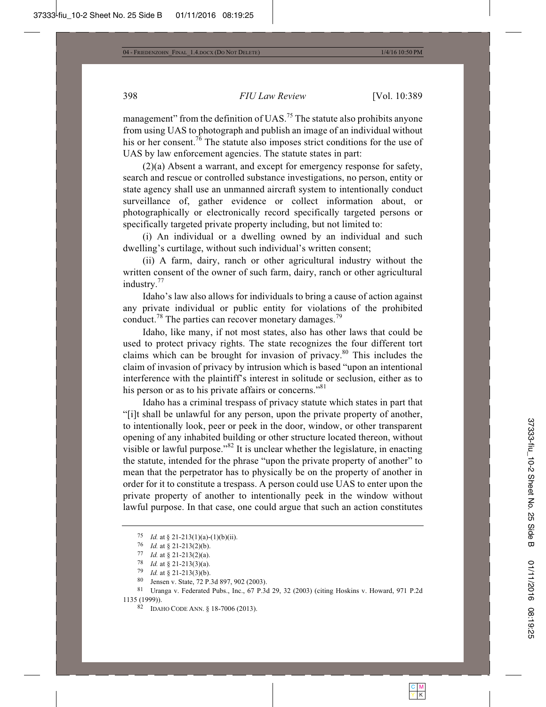management" from the definition of UAS.<sup>75</sup> The statute also prohibits anyone from using UAS to photograph and publish an image of an individual without his or her consent.<sup>76</sup> The statute also imposes strict conditions for the use of UAS by law enforcement agencies. The statute states in part:

(2)(a) Absent a warrant, and except for emergency response for safety, search and rescue or controlled substance investigations, no person, entity or state agency shall use an unmanned aircraft system to intentionally conduct surveillance of, gather evidence or collect information about, or photographically or electronically record specifically targeted persons or specifically targeted private property including, but not limited to:

(i) An individual or a dwelling owned by an individual and such dwelling's curtilage, without such individual's written consent;

(ii) A farm, dairy, ranch or other agricultural industry without the written consent of the owner of such farm, dairy, ranch or other agricultural industry.<sup>77</sup>

Idaho's law also allows for individuals to bring a cause of action against any private individual or public entity for violations of the prohibited conduct.<sup>78</sup> The parties can recover monetary damages.<sup>79</sup>

Idaho, like many, if not most states, also has other laws that could be used to protect privacy rights. The state recognizes the four different tort claims which can be brought for invasion of privacy.80 This includes the claim of invasion of privacy by intrusion which is based "upon an intentional interference with the plaintiff's interest in solitude or seclusion, either as to his person or as to his private affairs or concerns."<sup>81</sup>

Idaho has a criminal trespass of privacy statute which states in part that "[i]t shall be unlawful for any person, upon the private property of another, to intentionally look, peer or peek in the door, window, or other transparent opening of any inhabited building or other structure located thereon, without visible or lawful purpose."82 It is unclear whether the legislature, in enacting the statute, intended for the phrase "upon the private property of another" to mean that the perpetrator has to physically be on the property of another in order for it to constitute a trespass. A person could use UAS to enter upon the private property of another to intentionally peek in the window without lawful purpose. In that case, one could argue that such an action constitutes

<sup>75</sup> *Id.* at § 21-213(1)(a)-(1)(b)(ii).<br>
76 *Id.* at § 21-213(2)(b).<br>
77 *Id.* at § 21-213(2)(a).<br>
78 *Id.* at § 21-213(3)(a).<br>
79 *Id.* at § 21-213(3)(b).<br>
80 Jensen v. State, 72 P.3d 897, 902 (2003).<br>
81 Uranga v. Federat 1135 (1999)). 82 IDAHO CODE ANN. § 18-7006 (2013).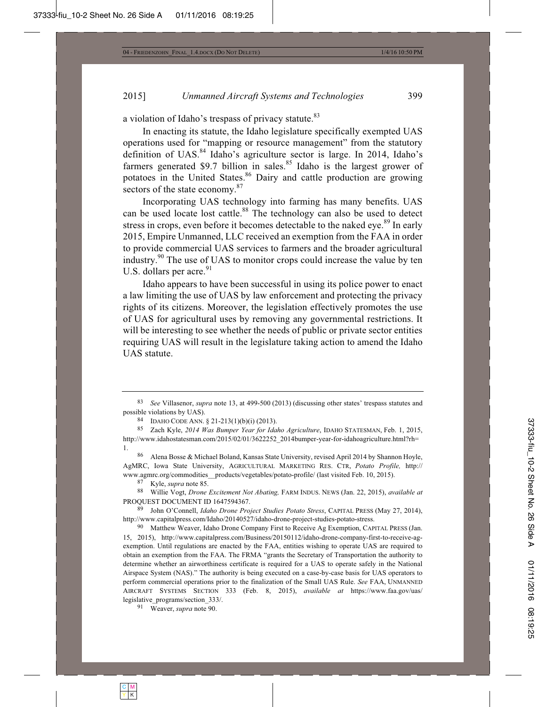a violation of Idaho's trespass of privacy statute.<sup>83</sup>

In enacting its statute, the Idaho legislature specifically exempted UAS operations used for "mapping or resource management" from the statutory definition of UAS.<sup>84</sup> Idaho's agriculture sector is large. In 2014, Idaho's farmers generated \$9.7 billion in sales.<sup>85</sup> Idaho is the largest grower of potatoes in the United States.<sup>86</sup> Dairy and cattle production are growing sectors of the state economy. $87$ 

Incorporating UAS technology into farming has many benefits. UAS can be used locate lost cattle.<sup>88</sup> The technology can also be used to detect stress in crops, even before it becomes detectable to the naked eye.<sup>89</sup> In early 2015, Empire Unmanned, LLC received an exemption from the FAA in order to provide commercial UAS services to farmers and the broader agricultural industry.90 The use of UAS to monitor crops could increase the value by ten U.S. dollars per acre. $91$ 

Idaho appears to have been successful in using its police power to enact a law limiting the use of UAS by law enforcement and protecting the privacy rights of its citizens. Moreover, the legislation effectively promotes the use of UAS for agricultural uses by removing any governmental restrictions. It will be interesting to see whether the needs of public or private sector entities requiring UAS will result in the legislature taking action to amend the Idaho UAS statute.

86 Alena Bosse & Michael Boland, Kansas State University, revised April 2014 by Shannon Hoyle, AgMRC, Iowa State University, AGRICULTURAL MARKETING RES. CTR, *Potato Profile,* http:// www.agmrc.org/commodities\_products/vegetables/potato-profile/ (last visited Feb. 10, 2015).<br><sup>87</sup> Kyle, *supra* note 85.<br><sup>88</sup> Willie Vogt, *Drone Excitement Not Abating*, FARM INDUS. NEWS (Jan. 22, 2015), *available at* 

PROQUEST DOCUMENT ID 1647594367. 89 John O'Connell, *Idaho Drone Project Studies Potato Stress*, CAPITAL PRESS (May 27, 2014),

http://www.capitalpress.com/Idaho/20140527/idaho-drone-project-studies-potato-stress.

90 Matthew Weaver, Idaho Drone Company First to Receive Ag Exemption, CAPITAL PRESS (Jan. 15, 2015), http://www.capitalpress.com/Business/20150112/idaho-drone-company-first-to-receive-agexemption. Until regulations are enacted by the FAA, entities wishing to operate UAS are required to obtain an exemption from the FAA. The FRMA "grants the Secretary of Transportation the authority to determine whether an airworthiness certificate is required for a UAS to operate safely in the National Airspace System (NAS)." The authority is being executed on a case-by-case basis for UAS operators to perform commercial operations prior to the finalization of the Small UAS Rule. *See* FAA, UNMANNED AIRCRAFT SYSTEMS SECTION 333 (Feb. 8, 2015), *available at* https://www.faa.gov/uas/ legislative\_programs/section\_333/. 91 Weaver, *supra* note 90.

<sup>83</sup> *See* Villasenor, *supra* note 13, at 499-500 (2013) (discussing other states' trespass statutes and possible violations by UAS). 84 IDAHO CODE ANN. § 21-213(1)(b)(i) (2013). 85 Zach Kyle, *2014 Was Bumper Year for Idaho Agriculture*, IDAHO STATESMAN, Feb. 1, 2015,

http://www.idahostatesman.com/2015/02/01/3622252\_2014bumper-year-for-idahoagriculture.html?rh= 1.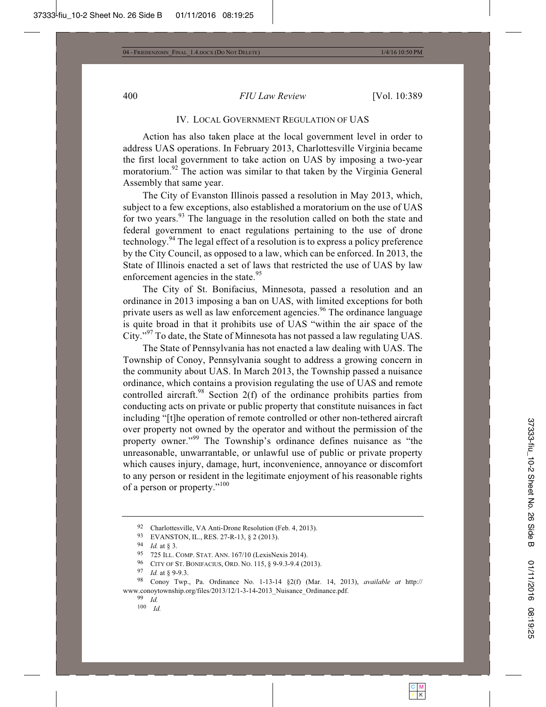#### IV. LOCAL GOVERNMENT REGULATION OF UAS

Action has also taken place at the local government level in order to address UAS operations. In February 2013, Charlottesville Virginia became the first local government to take action on UAS by imposing a two-year moratorium.<sup>92</sup> The action was similar to that taken by the Virginia General Assembly that same year.

The City of Evanston Illinois passed a resolution in May 2013, which, subject to a few exceptions, also established a moratorium on the use of UAS for two years.<sup>93</sup> The language in the resolution called on both the state and federal government to enact regulations pertaining to the use of drone technology.94 The legal effect of a resolution is to express a policy preference by the City Council, as opposed to a law, which can be enforced. In 2013, the State of Illinois enacted a set of laws that restricted the use of UAS by law enforcement agencies in the state.<sup>95</sup>

The City of St. Bonifacius, Minnesota, passed a resolution and an ordinance in 2013 imposing a ban on UAS, with limited exceptions for both private users as well as law enforcement agencies.<sup>96</sup> The ordinance language is quite broad in that it prohibits use of UAS "within the air space of the City."97 To date, the State of Minnesota has not passed a law regulating UAS.

The State of Pennsylvania has not enacted a law dealing with UAS. The Township of Conoy, Pennsylvania sought to address a growing concern in the community about UAS. In March 2013, the Township passed a nuisance ordinance, which contains a provision regulating the use of UAS and remote controlled aircraft.<sup>98</sup> Section 2(f) of the ordinance prohibits parties from conducting acts on private or public property that constitute nuisances in fact including "[t]he operation of remote controlled or other non-tethered aircraft over property not owned by the operator and without the permission of the property owner."<sup>99</sup> The Township's ordinance defines nuisance as "the unreasonable, unwarrantable, or unlawful use of public or private property which causes injury, damage, hurt, inconvenience, annoyance or discomfort to any person or resident in the legitimate enjoyment of his reasonable rights of a person or property."<sup>100</sup>

<sup>&</sup>lt;sup>92</sup> Charlottesville, VA Anti-Drone Resolution (Feb. 4, 2013).<br>
<sup>93</sup> EVANSTON, IL., RES. 27-R-13, § 2 (2013).<br>
<sup>94</sup> *Id.* at § 3.<br>
<sup>95</sup> 725 ILL. COMP. STAT. ANN. 167/10 (LexisNexis 2014).<br>
<sup>96</sup> CITY OF ST. BONIFACIUS, ORD www.conoytownship.org/files/2013/12/1-3-14-2013\_Nuisance\_Ordinance.pdf. 99 *Id.*

<sup>100</sup> *Id.*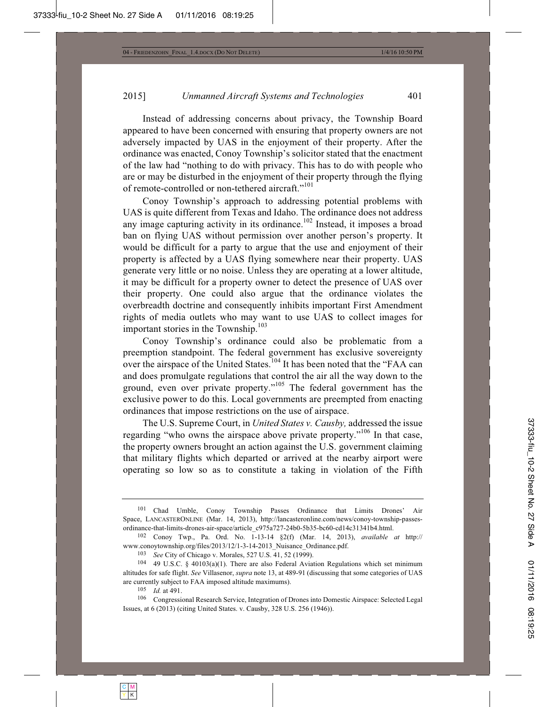Instead of addressing concerns about privacy, the Township Board appeared to have been concerned with ensuring that property owners are not adversely impacted by UAS in the enjoyment of their property. After the ordinance was enacted, Conoy Township's solicitor stated that the enactment of the law had "nothing to do with privacy. This has to do with people who are or may be disturbed in the enjoyment of their property through the flying of remote-controlled or non-tethered aircraft."<sup>101</sup>

Conoy Township's approach to addressing potential problems with UAS is quite different from Texas and Idaho. The ordinance does not address any image capturing activity in its ordinance. $102$  Instead, it imposes a broad ban on flying UAS without permission over another person's property. It would be difficult for a party to argue that the use and enjoyment of their property is affected by a UAS flying somewhere near their property. UAS generate very little or no noise. Unless they are operating at a lower altitude, it may be difficult for a property owner to detect the presence of UAS over their property. One could also argue that the ordinance violates the overbreadth doctrine and consequently inhibits important First Amendment rights of media outlets who may want to use UAS to collect images for important stories in the Township. $103$ 

Conoy Township's ordinance could also be problematic from a preemption standpoint. The federal government has exclusive sovereignty over the airspace of the United States.<sup>104</sup> It has been noted that the "FAA can and does promulgate regulations that control the air all the way down to the ground, even over private property."<sup>105</sup> The federal government has the exclusive power to do this. Local governments are preempted from enacting ordinances that impose restrictions on the use of airspace.

The U.S. Supreme Court, in *United States v. Causby,* addressed the issue regarding "who owns the airspace above private property."<sup>106</sup> In that case, the property owners brought an action against the U.S. government claiming that military flights which departed or arrived at the nearby airport were operating so low so as to constitute a taking in violation of the Fifth

<sup>101</sup> Chad Umble, Conoy Township Passes Ordinance that Limits Drones' Air Space, LANCASTERONLINE (Mar. 14, 2013), http://lancasteronline.com/news/conoy-township-passesordinance-that-limits-drones-air-space/article\_c975a727-24b0-5b35-bc60-cd14c31341b4.html.

<sup>102</sup> Conoy Twp., Pa. Ord. No. 1-13-14 §2(f) (Mar. 14, 2013), *available at* http:// www.conoytownship.org/files/2013/12/1-3-14-2013\_Nuisance\_Ordinance.pdf.<br>
<sup>103</sup> See City of Chicago v. Morales, 527 U.S. 41, 52 (1999).<br>
<sup>104</sup> 49 U.S.C. § 40103(a)(1). There are also Federal Aviation Regulations which set m

altitudes for safe flight. *See* Villasenor, *supra* note 13, at 489-91 (discussing that some categories of UAS are currently subject to FAA imposed altitude maximums).<br><sup>105</sup> *Id.* at 491.<br><sup>106</sup> Congressional Research Service, Integration of Drones into Domestic Airspace: Selected Legal

Issues, at 6 (2013) (citing United States. v. Causby, 328 U.S. 256 (1946)).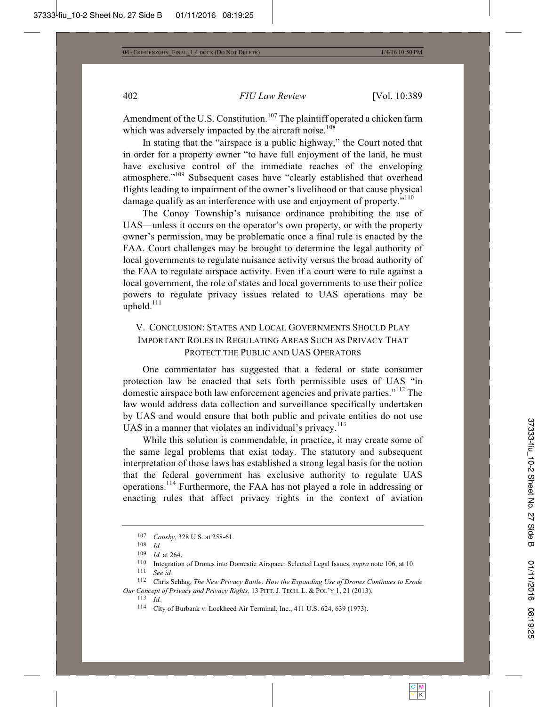Amendment of the U.S. Constitution.<sup>107</sup> The plaintiff operated a chicken farm which was adversely impacted by the aircraft noise.<sup>108</sup>

In stating that the "airspace is a public highway," the Court noted that in order for a property owner "to have full enjoyment of the land, he must have exclusive control of the immediate reaches of the enveloping atmosphere."109 Subsequent cases have "clearly established that overhead flights leading to impairment of the owner's livelihood or that cause physical damage qualify as an interference with use and enjoyment of property."<sup>110</sup>

The Conoy Township's nuisance ordinance prohibiting the use of UAS—unless it occurs on the operator's own property, or with the property owner's permission, may be problematic once a final rule is enacted by the FAA. Court challenges may be brought to determine the legal authority of local governments to regulate nuisance activity versus the broad authority of the FAA to regulate airspace activity. Even if a court were to rule against a local government, the role of states and local governments to use their police powers to regulate privacy issues related to UAS operations may be upheld.<sup>111</sup>

## V. CONCLUSION: STATES AND LOCAL GOVERNMENTS SHOULD PLAY IMPORTANT ROLES IN REGULATING AREAS SUCH AS PRIVACY THAT PROTECT THE PUBLIC AND UAS OPERATORS

One commentator has suggested that a federal or state consumer protection law be enacted that sets forth permissible uses of UAS "in domestic airspace both law enforcement agencies and private parties."<sup>112</sup> The law would address data collection and surveillance specifically undertaken by UAS and would ensure that both public and private entities do not use UAS in a manner that violates an individual's privacy.<sup>113</sup>

While this solution is commendable, in practice, it may create some of the same legal problems that exist today. The statutory and subsequent interpretation of those laws has established a strong legal basis for the notion that the federal government has exclusive authority to regulate UAS operations.114 Furthermore, the FAA has not played a role in addressing or enacting rules that affect privacy rights in the context of aviation

<sup>107</sup> *Causby*, 328 U.S. at 258-61. 108 *Id.*

<sup>109</sup> *Id.* at 264. 110 Integration of Drones into Domestic Airspace: Selected Legal Issues, *supra* note 106, at 10. 111 *See id.*

<sup>112</sup> Chris Schlag, *The New Privacy Battle: How the Expanding Use of Drones Continues to Erode Our Concept of Privacy and Privacy Rights,* <sup>13</sup> PITT. J. TECH. L. & POL'Y 1, 21 (2013). 113 *Id.*

<sup>114</sup> City of Burbank v. Lockheed Air Terminal, Inc., 411 U.S. 624, 639 (1973).